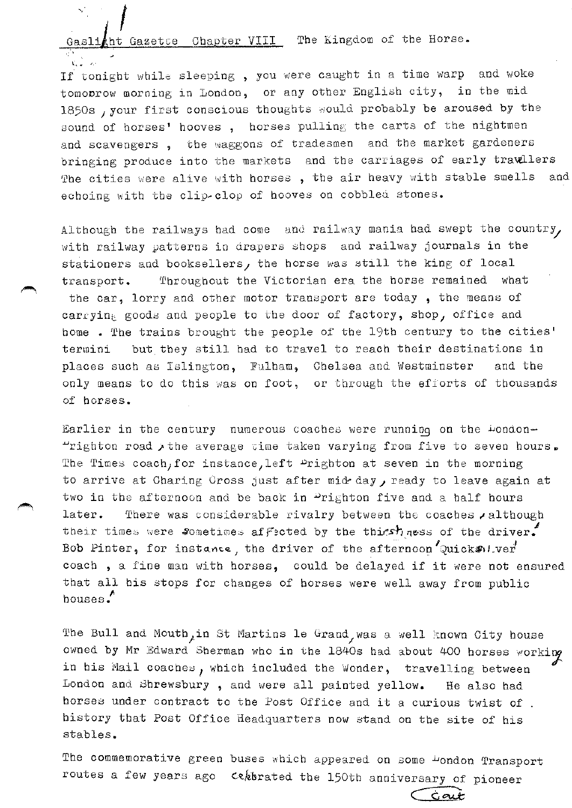tht Gazetre Chapter VIII The Kingdom of the Horse.

If tonight while sleeping, you were caught in a time warp and woke tomobrow morning in London, or any other English city, in the mid 1850s , your first conscious thoughts would probably be aroused by the sound of horses' hooves, horses pulling the carts of the nightmen and scavengers, the waggons of tradesmen and the market gardeners bringing produce into the markets and the carriages of early travellers The cities were alive with horses, the air heavy with stable smells  $anc$ echoing with the clip-clop of hooves on cobbled stones.

Although the railways had come and railway mania had swept the country, with railway patterns in drapers shops and railway journals in the stationers and booksellers, the horse was still the king of local transport. Throughout the Victorian era the horse remained what the car, lorry and other motor transport are today, the means of carrying goods and people to the door of factory, shop, office and home. The trains brought the people of the 19th century to the cities' but they still had to travel to reach their destinations in termini places such as Islington, Fulham, Chelsea and Westminster and the only means to do this was on foot, or through the efforts of thousands of horses.

Earlier in the century numerous coaches were running on the Dondon-"righton road the average time taken varying from five to seven hours. The Times coach, for instance, left Prighton at seven in the morning to arrive at Charing Cross just after mid day, ready to leave again at two in the afternoon and be back in Prighton five and a half hours There was considerable rivalry between the coaches , although later. their times were sometimes affected by the thirst ness of the driver. Bob Pinter, for instance, the driver of the afternoon Quicks. I.ver coach, a fine man with horses, could be delayed if it were not ensured that all his stops for changes of horses were well away from public houses.

The Bull and Mouth, in St Martins le Grand, was a well known City house owned by Mr Edward Sherman who in the 1840s had about 400 horses working in his Mail coaches, which included the Wonder, travelling between London and Shrewsbury, and were all painted yellow. He also had horses under contract to the Post Office and it a curious twist of. history that Post Office Headquarters now stand on the site of his stables.

The commemorative green buses which appeared on some Dondon Transport routes a few years ago cekbrated the 150th anniversary of pioneer

Ġaut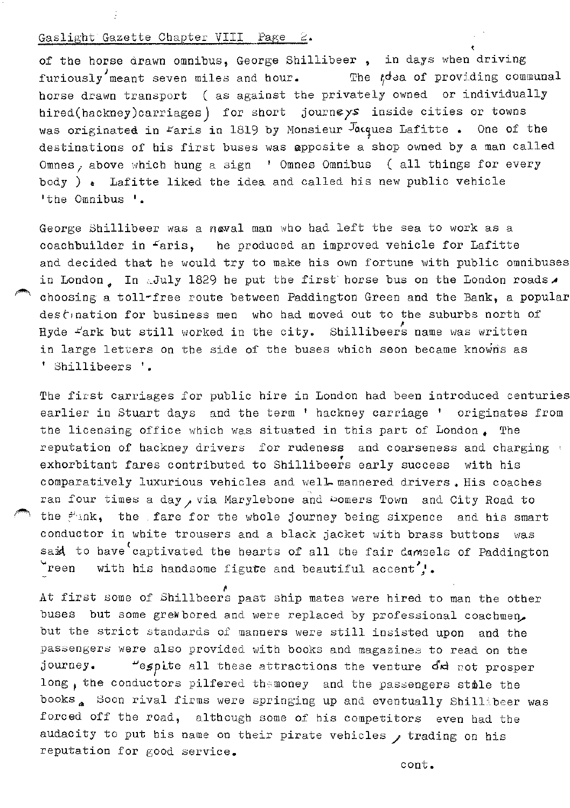**of the horse drawn omnibus, George Shillibeer**, in days when driving furiously meant seven miles and hour. The  $td$  a of providing communal horse drawn transport ( as against the privately owned or individually hired(hackney)carriages) for short journeys inside cities or towns was originated in Faris in 1819 by Monsieur  $J_{\alpha\alpha}$ ues Lafitte. One of the destinations of his first buses was apposite a shop owned by a man called Omnes, above which hung a sign ' Omnes Omnibus ( all things for every body )  $\epsilon$  Lafitte liked the idea and called his new public vehicle 'the Omnibus '.

George Shillibeer was a naval man who had left the sea to work as a coachbuilder in Faris, he produced an improved vehicle for Lafitte and decided that he would try to make his own fortune with public omnibuses in London, In .July 1829 he put the first horse bus on the London roads. choosing a toll-free route between Paddington Green and the Bank, a popular destination for business men who had moved out to the suburbs north of Hyde  $\pm'$ ark but still worked in the city. Shillibeers name was written in large letters on the side of the buses which soon became knowns as ' Shillibeers '.

The first carriages for public hire in London had been introduced centuries earlier in Stuart days and the term ' hackney carriage ' originates from the licensing office which was situated in this part of London • The reputation of hackney drivers for rudeness and coarseness and charging ' exhorbitant fares contributed to Shillibeers early success with his comparatively luxurious vehicles and well- mannered drivers. His coaches ran four times a day, via Marylebone and Domers Town and City Road to the  $f^{\lambda}$ ink, the fare for the whole journey being sixpence and his smart conductor in white trousers and a black jacket with brass buttons was said to have captivated the hearts of all the fair domsels of Paddington  $\mathbf{v}$ reen with his handsome figute and beautiful accent  $\mathbf{v}$ .

f. At first some of Shillbeers past ship mates were hired to man the other buses but some grew bored and were replaced by professional coachmen. but the strict standards of manners were still insisted upon and the passengers were also provided with books and magazines to read on the journey. .LJespLte all these attractions the venture d'~ cot prosper long, the conductors pilfered themoney and the passengers stile the books<sub>a</sub> Soon rival firms were springing up and eventually Shillibeer was forced off the road, although some of his competitors even had the audacity to put his name on their pirate vehicles  $\prime$  trading on his reputation for good service.

cont.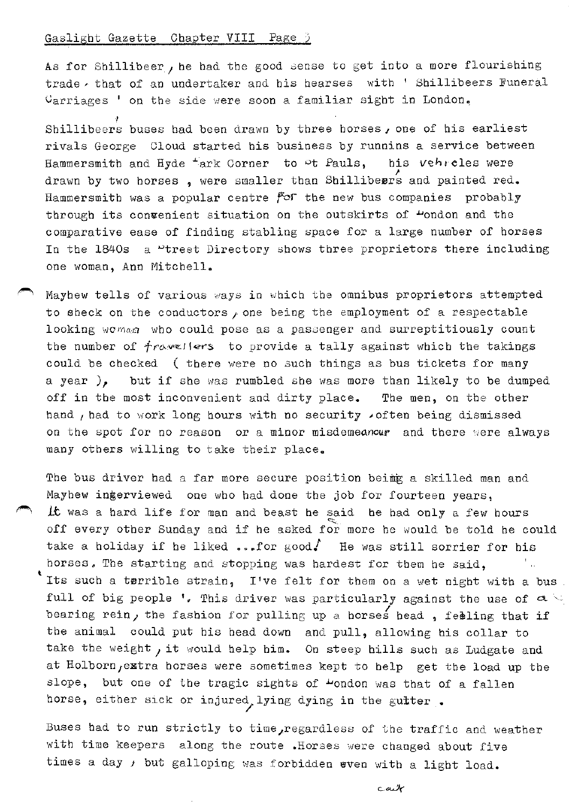As for Shillibeer, he had the good sense to get into a more flourishing trade , that of an undertaker and his hearses with ' Shillibeers Funeral  $Carriages$  ' on the side were soon a familiar sight in London.

Shillibeers buses had been drawn by three horses, one of his earliest rivals George Cloud started his business by runnins a service between Hammersmith and Hyde  $\pm$ ark Corner to  $\infty$ t Pauls, his vehrcles were drawn by two horses, were smaller than Shillibeers and painted red. Hammersmith was a popular centre *for* the new bus companies probably through its convenient situation on the outskirts of "ondon and the comparative ease of finding stabling space for a large number of horses In the  $1840s$  a "treet Directory shows three proprietors there including one woman, Ann Mitchell.

Mayhew tells of various ways in which the omnibus proprietors attempted to sheck on the conductors  $\rho$  one being the employment of a respectable looking woman who could pose as a passenger and surreptitiously count the number of  $\dot{\tau}$ ravellers to provide a tally against which the takings could be checked ( there were no such things as bus tickets for many a year ), but if she was rumbled she was more than likely to be dumped off in the most inconvenient and dirty place. The men, on the other hand , had to work long hours with no security . often being dismissed on the spot for no reason or a minor misdemeanour and there were always many others willing to take their place.

The bus driver had a far more secure position beimg a skilled man and Mayhew ingerviewed one who had done the job for fourteen years, ~ *Lt* was a hard life for man and beast he said he had only a few hours off every other Sunday and if he asked for more he would be told he could take a holiday if he liked ...for good. He was still sorrier for his horses. The starting and stopping was hardest for them he said, in Papa t Its such a terrible strain, I've felt for them on a wet night with a bus full of big people '. This driver was particularly against the use of  $a \subseteq$ bearing rein, the fashion for pulling up a horses head, feeling that if the animal could put his head down and pull, allowing his collar to take the weight, it would help him. On steep hills such as Ludgate and at Holborn, extra horses were sometimes kept to help get the load up the slope, but one of the tragic sights of  $\omega$ ondon was that of a fallen horse, either sick or injured lying dying in the gutter.

Buses had to run strictly to time, regardless of the traffic and weather with time keepers along the route .Horses were changed about five times a day *J* but galloping was forbidden even with a light load.

مهمدس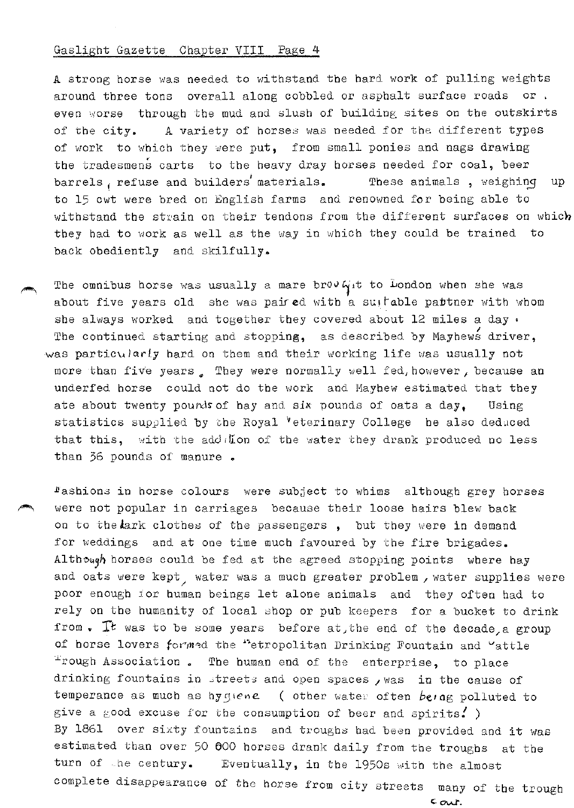A strong horse was needed to withstand the hard work of pulling weights around three tons overall along cobbled or asphalt surface roads or . even worse through the mud and slush of building sites on the outskirts of the city. A variety of horses was needed for the different types of work to which they were put, from small ponies and nags drawing the tradesmens carts to the heavy dray horses needed for coal, beer barrels, refuse and builders' materials. These animals, weighing up to 15 cwt were bred on English farms and renowned for being able to withstand the strain on their tendons from the different surfaces on which they had to work as well as the way in which they could be trained to back obediently and skilfully.

The omnibus horse was usually a mare brov  $G_{\mu}$ t to London when she was about five years old she was paired with a suitable pattner with whom she always worked and together they covered about 12 miles a day. The continued starting and stopping, as described by Mayhews driver, was particularly hard on them and their working life was usually not more than five years . They were normally well fed, however, because an underfed horse could not do the work and Mayhew estimated that they ate about twenty pounds of hay and six pounds of oats a day, Using statistics supplied by the Royal Veterinary College he also deduced that this, with the add  $\sqrt{L}$  on of the water they drank produced no less than 36 pounds of manure.

Fashions in horse colours were subject to whims although grey horses were not popular in carriages because their loose hairs blew back on to the  $r$ ark clothes of the passengers, but they were in demand for weddings and at one time much favoured by the fire brigades. Altheugh horses could be fed at the agreed stopping points where hay and oats were  $\text{kept}_\nearrow$  water was a much greater problem , water supplies were poor enough ior human beings let alone animals and they often had to rely on the humanity of local shop or pub keepers for a bucket to drink from. It was to be some years before at, the end of the decade, a group of horse lovers formed the "etropolitan Drinking Fountain and "attle Frough Association. The human end of the enterprise, to place drinking fountains in streets and open spaces , was in the cause of temperance as much as hygiene ( other water often being polluted to give a good excuse for the consumption of beer and spirits. ) By 1861 over sixty fountains and troughs bad been provided and it was estimated than over 50 600 horses drank daily from the troughs at the turn of the century. Eventually, in the 1950s with the almost complete disappearance of the horse from city streets wany of the trough

 $c_{\alpha}$ . $r$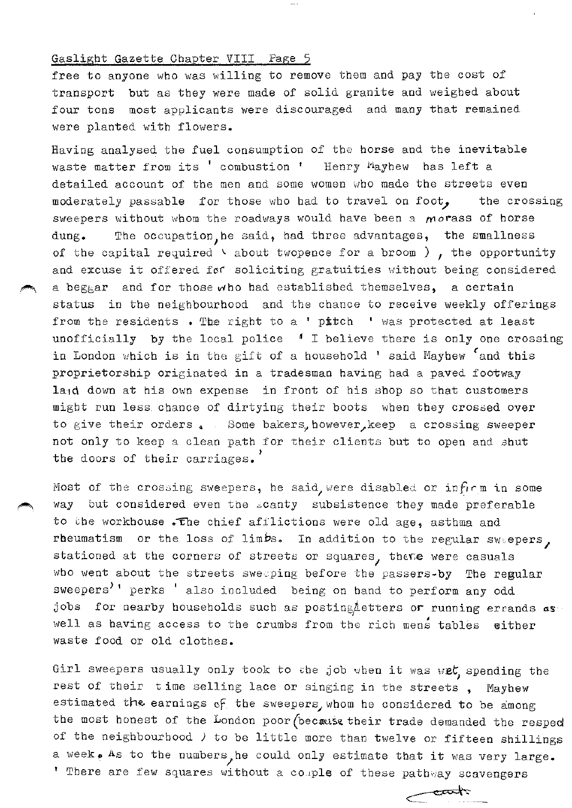free to anyone who was willing to remove them and pay the cost of transport but as they were made of solid granite and weighed about four tons most applicants were discouraged and many that remained were planted with flowers.

Having analysed the fuel consumption of the horse and the inevitable waste matter from its ' combustion ' Henry Payhew has left a detailed account of the men and some women who made the streets even moderately passable for those who had to travel on foot, the crossing sweepers without whom the roadways would have been a morass of horse dung. The occupation, he said, had three advantages, the smallness of the capital required  $\vee$  about twopence for a broom ), the opportunity and excuse it offered for ·soliciting gratuities without being considered a beggar and for those who had established themselves, a certain status in the neighbourhood and the chance to receive weekly offerings from the residents  $\bullet$  The right to a ' pitch  $\quad$  was protected at least unofficially by the local police *A* I believe there is only one crossing in London which is in the gift of a household ' said Mayhew <sup>c</sup>and this proprietorship originated in a tradesman having bad a paved footway la1d down at his own expense in front of his shop so that customers might run less. chance of dirtying their boots when they crossed over to give their orders. Some bakers, however, keep a crossing sweeper not only to keep a clean path for their clients but to open and shut the doors of their carriages.

Most of the crossing sweepers, he said, were disabled or infirm in some way but considered even the scanty subsistence they made preferable to the workhouse . The chief afflictions were old age, asthma and rheumatism or the loss of limbs. In addition to the regular swaepers, stationed at the corners of streets or squares, thene were casuals who went about the streets sweeping before the passers-by The regular sweepers<sup>)</sup>' perks ' also included being on hand to perform any odd jobs for nearby households such as posting detters or running errands  $aS$ well as having access to the crumbs from the rich mens tables either waste food or old clothes.

Girl sweepers usually only took to the job when it was w $\bm{e} t$ , spending the rest of their time selling lace or singing in the streets , Maybew estimated the earnings of the sweepers, whom he considered to be among the most honest of the London poor (because their trade demanded the resped of the neighbourhood *)* to be little more than twelve or fifteen shillings a week, As to the numbers, he could only estimate that it was very large. <sup>1</sup> There are few squares without a couple of these pathway scavengers

 $\overbrace{\hspace{15em}}^{\text{exark}}$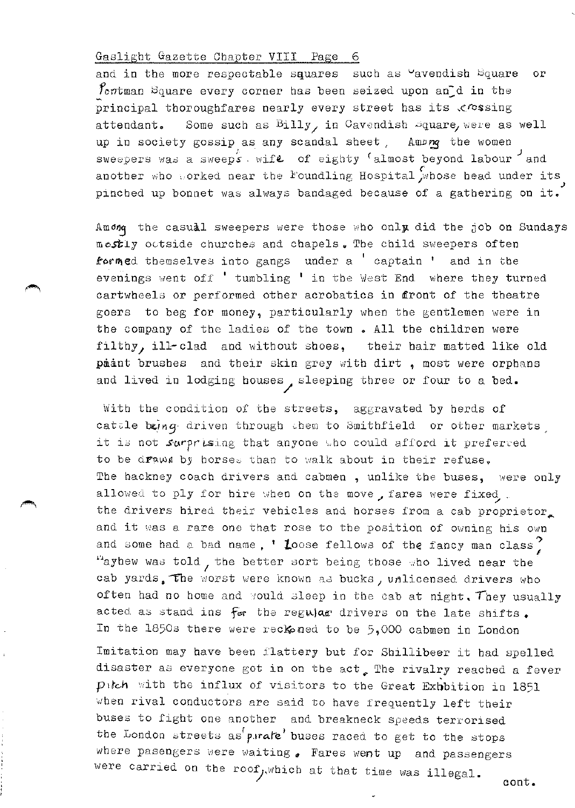and in the more respectable squares such as "avendish Square or foutman Square every corner has been seized upon and in the principal thoroughfares nearly every street has its  $\mathcal{L}$  ressing attendant. Some such as  $Billy$  in Cavendish  $square$  were as well up in society gossip as any scandal sheet,  $\text{Amap}_q$  the women swespers was a sweep's wife of eighty <sup>c</sup>almost beyond labour and .<br>another who vorked near the Foundling Hospital whose head under its pinched up bonnet was always bandaged because of a gathering on it.

Among the casual sweepers were those who only did the job on Sundays mostly octside churches and chapels. The child sweepers often formed themselves into gangs under a ' captain ' and in the evenings went off ' tumbling ' in the West End where they turned cartwheels or performed other acrobatics in front of the theatre goers to beg for money, particularly when the gentlemen were in the company of the ladies of the town. All the children were filthy, ill-clad and without shoes, their hair matted like old paant brushes and their skin grey with dirt, most were orphans and lived in lodging houses, sleeping three or four to a bed.

With the condition of the streets, aggravated by herds of cattle being driven through them to Smithfield or other markets, it is not *surprising* that anyone who could afford it preferred to be draws by horses than to walk about in their refuse. The hackney coach drivers and cabmen, unlike the buses, were only allowed to ply for hire when on the move, fares were fixed,. the drivers hired their vehicles and horses from a cab proprietor. and it was a rare one that rose to the position of owning his own and some had a bad name, ' Loose fellows of the fancy man class? "ayhew was told, the better sort being those who lived near the cab yards. The worst were known as bucks, unlicensed drivers who often had no home and yould sleep in the cab at night. They usually acted as stand ins for the regular drivers on the late shifts. In the 1850s there were reckoned to be  $5,000$  cabmen in London

Imitation may have been flattery but for Shillibeer it had spelled disaster as everyone got in on the act, The rivalry reached a fever pitch with the influx of visitors to the Great Exboition in 1851 when rival conductors are said to have frequently left their buses to fight one another and breakneck speeds terrorised the London streets as parake' buses raced to get to the stops where pasengers were waiting  $\bullet$  Fares went up and passengers were carried on the roof, which at that time was illegal.

cont.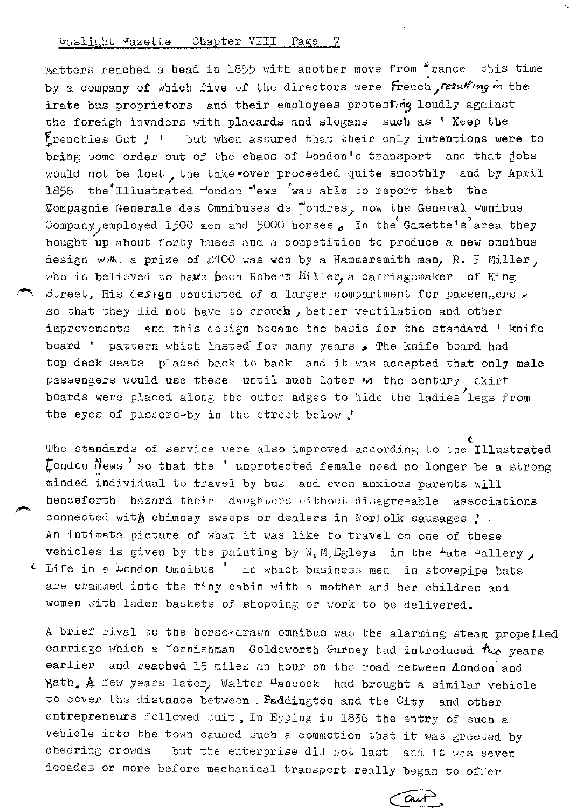Matters reached a head in 1855 with another move from "rance this time by a company of which five of the directors were french, resulting in the irate bus proprietors and their employees protesting loudly against the foreigh invaders with placards and slogans such as ' Keep the Frenchies Out  $!$  ' but when assured that their only intentions were to bring some order out of the chaos of London's transport and that jobs would not be lost, the take-over proceeded quite smoothly and by April 1856 the Illustrated  $\sim$ ondon  $\sim$ ews  $\sim$ was able to report that the Wompagnie Generale des Omnibuses de "ondres, now the General Omnibus Company, employed 1300 men and 5000 horses  $\sim$  In the Gazette's area they bought up about forty buses and a competition to produce a new omnibus design with. a prize of £100 was won by a Hammersmith man, R. F Miller, who is believed to have been Robert Miller, a carriagemaker of King Street, His design consisted of a larger compartment for passengers, so that they did not have to croveh, better ventilation and other improvements and this design became the basis for the standard ' knife board ' pattern which lasted for many years  $\bullet$  The knife board had top deck seats placed back to back and it was accepted that only male passengers would use these until much later in the century skirt boards were placed along the outer adges to hide the ladies legs from the eyes of passers-by in the street below .'

t The standards of service were also improved according to the Illustrated  $\zeta$  ondon  $\hbox{News}$  'so that the ' unprotected female need no longer be a strong minded individual to travel by bus and even anxious parents will henceforth hazard their daughters without disagreeable associations connected with chimney sweeps or dealers in Norfolk sausages  $\cdot$ . An intimate picture of what it was like to travel on one of these vehicles is given by the painting by W.M.Egleys in the  $4$ ate  $4$ allery, Life in a London Omnibus ' in which business men in stovepipe hats are crammed into the tiny cabin with a mother and her children and women with laden baskets of shopping or work to be delivered.

A brief rival to the horse•drawn omnibus was the alarming steam propelled carriage which a  $\sim$ ornishman Goldsworth Gurney had introduced  $t_{\rm wc}$  years earlier and reached 15 miles an hour on the road between London and Bath,  $A$  few years later, Walter <sup>H</sup>ancock had brought a similar vehicle to cover the distaace between . Paddington and the City and other entrepreneurs followed suit. In Epping in 1836 the entry of such a vehicle into the town caused such a commotion that it was greeted by cheering crowds but the enterprise did not last and it was seven decades or more before mechanical transport really began to offer

Cart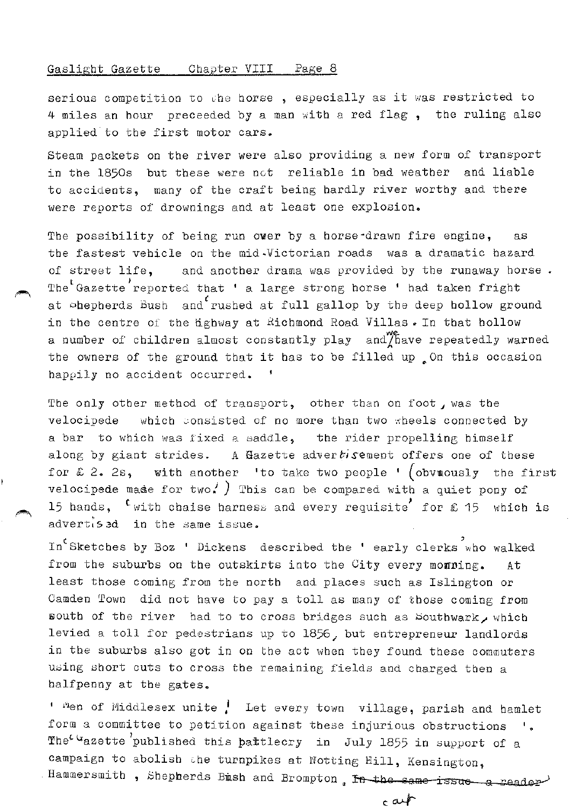serious competition to the horse, especially as it was restricted to 4 miles an hour preceeded by a man with a red flag, the ruling also applied to the first motor cars.

Steam packets on the river were also providing a new form of transport in the 1850s but these were net reliable in bad weather and liable to accidents, many of the craft being hardly river worthy and there were reports of drownings and at least one explosion.

The possibility of being run ower by a horse-drawn fire engine, as the fastest vehicle on the mid-Victorian roads was a dramatic hazard of street life, and another drama was provided by the runaway horse • The Gazette reported that ' a large strong horse ' had taken fright at ohepherds Bush and rushed at full gallop by the deep hollow ground in the centre of the  $b$  ahway at Richmond Road Villas. In that hollow a number of children almost constantly play and have repeatedly warned the owners of the ground that it has to be filled up  $\Omega$  on this occasion happily no accident occurred.  $\mathbf{f}$ 

The only other method of transport, other than on foot, was the velocipede which consisted of no more than two wheels connected by a bar to which was fixed a saddle, the rider propelling himself along by giant strides. A Gazette advertisement offers one of these for  $\hat{z}$  2. 2s, with another 'to take two people ' (obvuously the first velocipede made for two. ) This can be compared with a quiet pony of 15 hands, <sup>t</sup> with chaise harness and every requisite' for £ 15 which is advertised in the same issue.

In Sketches by Boz ' Dickens described the ' early clerks who walked from the suburbs on the outskirts into the City every monning. At least those coming from the north and places such as Islington or Camden Town did not have to pay a toll as many of those coming from south of the river had to to cross bridges such as Southwark, which levied a toll for pedestrians up to 1856, but entrepreneur landlords in the suburbs also got in on the act when they found these commuters using short cuts to cross the remaining fields and charged then a halfpenny at the gates.

' "en of Middlesex unite <sup>1</sup> Let every town village, parish and hamlet form a committee to petition against these injurious obstructions  $\blacksquare$ . The<sup>c u</sup>azette published this pattlecry in July 1855 in support of a campaign to abolish the turnpikes at Notting Hill, Kensington, Hammersmith, Shepherds Bush and Brompton, In the same issue a reader

∤مه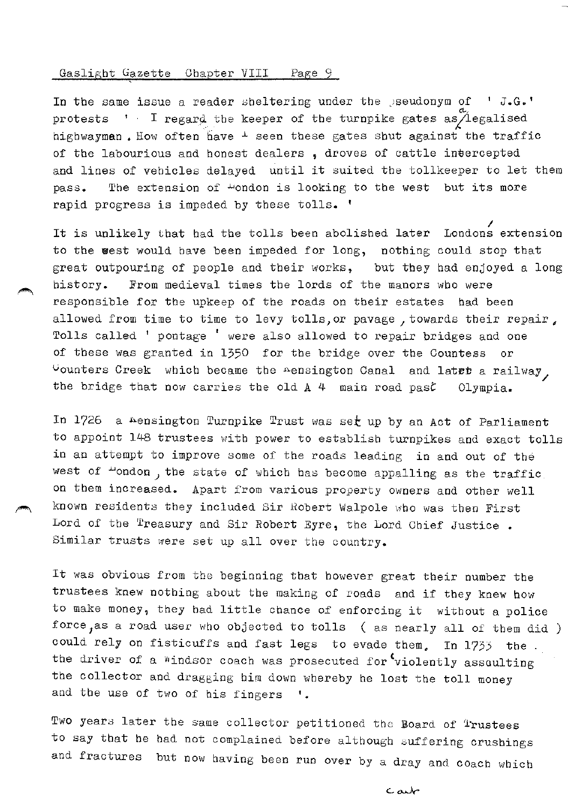In the same issue a reader sheltering under the  $\beta$ seudonym of  $\beta$ .  $G.$ ' protests ' I regard the keeper of the turnpike gates as *degalised* highwayman. How often have  $\pm$  seen these gates shut against the traffic of the labourious and honest dealers , droves of cattle intercepted and lines of vehicles delayed until it suited the tollkeeper to let them pass. The extension of #ondon is looking to the west but its more rapid progress is impeded by these tolls. '

It is unlikely that had the tolls been abolished lat<mark>er Lo</mark>ndons extension to the west would have been impeded for long, nothing could stop that great outpouring of people and their works, but they had enjoyed a long history. From medieval times the lords of the manors who were responsible for the upkeep of the roads on their estates had been allowed from time to time to levy tolls, or pavage, towards their repair, Tolls called ' pontage ' were also allowed to repair bridges and one of these was granted in 1350 for the bridge over the Countess or  $\cup$ ounters Creek which became the nensington Canal and latet a railway, the bridge that now carries the old A 4 main road past: Olympia.

In 1726 a Aensington Turnpike Trust was set up by an Act of Parliament to appoint 148 trustees with power to establish turnpikes and exact tolls in an attempt to improve some of the roads leading in and out of the west of "ondon, the state of which has become appalling as the traffic. on them increased. Apart from various property owners and other well known residents they included Sir Robert Walpole who was then First Lord of the  $r$  reasury and Sir Robert Eyre, the Lord Chief Justice. Similar trusts were set up all over the country.

It was obvious from the beginning that however great their number the trustees knew nothing about the making of roads and if they knew how to make money, they had little chance of enforcing it without a police force, as a road user who objected to tolls ( as nearly all of them did ) could rely on fisticuffs and fast legs to evade them, In 1733 the. the driver of a windsor coach was prosecuted for violently assaulting the collector and dragging him down whereby he lost the toll money and the use of two of his fingers '.

Two years later the same collector petitioned the Board of Trustees to say that he bad not complained before although suffering crushings and fractures but now having been run over by a dray and coach which

مهمده ب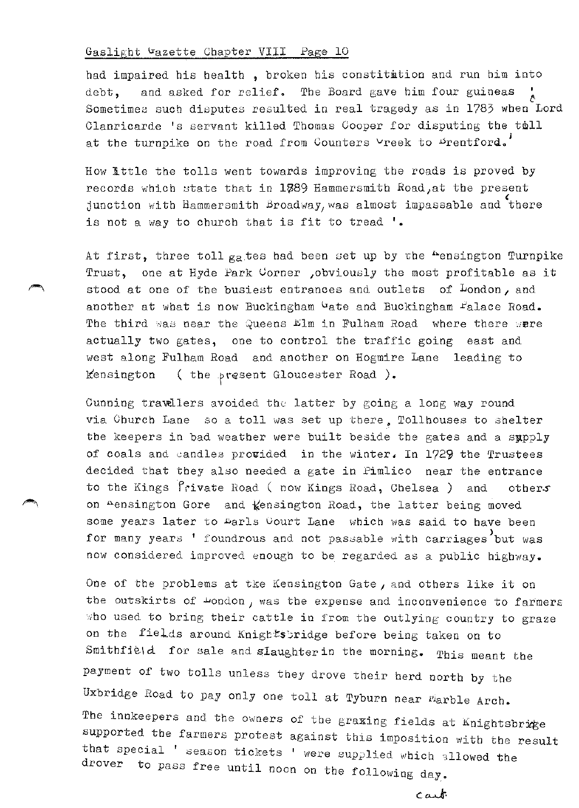had impaired his health, broken his constitition and run him into debt, and asked for relief. The Board gave him four guineas *t*  Sometimes such disputes resulted in real tragedy as in 1783 when Lord Clanricarde 's servant killed Thomas Cooper for disputing the toll at the turnpike on the road from Counters Vreek to Drentford.

How little the tolls went towards improving the roads is proved by records which state that in 1789 Hammersmith Road, at the present junction with Hammersmith Broadway, was almost impassable and there is not a way to church that is fit to tread '.

At first, three toll  $g_a$  tes had been set up by the "ensington Turnpike Trust, one at Hyde Park Corner ,obviously the most profitable as it stood at one of the busiest entrances and outlets of London, and another at what is now Buckingham  $\mathcal{L}_{\text{ate}}$  and Buckingham  $\mathcal{L}_{\text{a}}$  Road. The third was near the Queens  $Elm$  in Fulham Road where there were actually two gates, one to control the traffic going east and west along Fulham Road and another on Hogmire Lane leading to Kensington ( the present Gloucester Road ).

Cunning travallers avoided the latter by going a long way round via Church Lane so a toll was set up there. Tollhouses to shelter the keepers in bad weather were built beside the gates and a sypply of coals and candles provided in the winter, In 1729 the Trustees decided that they also needed a gate in Pimlico near the entrance to the Kings Private Road ( now Kings Road, Chelsea ) and others on Aensington Gore and Kensington Road, the latter being moved some years later to Aarls Gourt Lane which was said to have been for many years ' foundrous and not passable with carriages but was now considered improved enough to be regarded as a public highway.

One of the problems at tke Kensington Gate, and others like it on the outskirts of  $\omega$ ondon, was the expense and inconvenience to farmers ~ho used to bring their cattle in from the outlying country to graze on the fields around Knightsbridge before being taken on to Smithfield for sale and slaughterin the morning. This meant the payment of two tolls unless they drove their herd north by the Uxbridge Road to pay only one toll at Tyburn near Farble Arch. The innkeepers and the owners of the graxing fields at Knightsbrice supported the farmers protest against this imposition with the result that special ' season tickets ' were supplied which allowed the drover to pass free until noon on the following day.

 $c$  and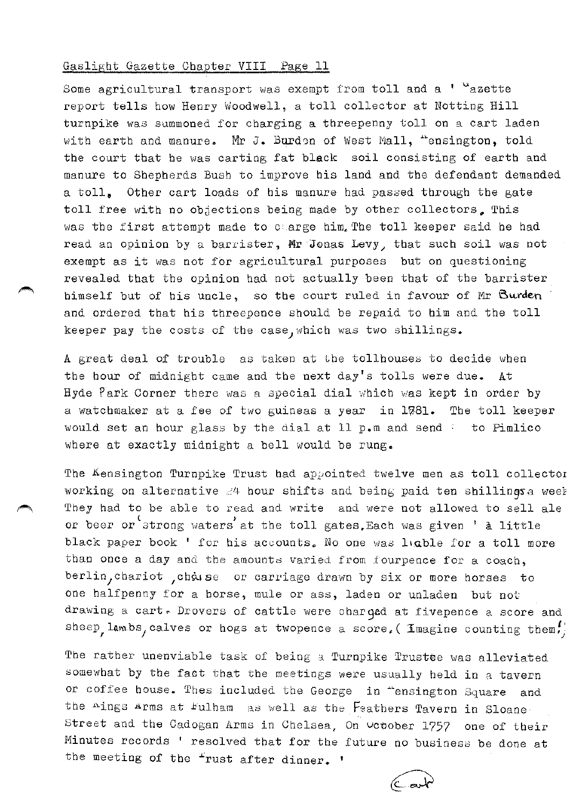Some agricultural transport was exempt from toll and a  $1 - u$ azette report tells how Henry Woodwell, a toll collector at Notting Hill turnpike was summoned for charging a threepenny toll on a cart laden with earth and manure. Mr J. Burden of West Mall, "ensington, told the court that he was carting fat black soil consisting of earth and manure to Shepherds Bush to improve his land and the defendant demanded a toll, Other cart loads of his manure had passed through the gate toll free with no objections being made by other collectors. This was the first attempt made to c arge him. The toll keeper said he had read an opinion by a barrister, Mr Jonas Levy, that such soil was not exempt as it was not for agricultural purposes but on questioning revealed that the opinion had not actually been that of the barrister himself but of his uncle, so the court ruled in favour of Mr Burden and ordered that his threepence should be repaid to him and the toll keeper pay the costs of the case, which was two shillings.

A great deal of trouble as taken at the tollhouses to decide when the hour of midnight came and the next day's tolls were due. At Hyde Park Corner there was a special dial which was kept in order by a watchmaker at a fee of two guineas a year in 1781. The toll keeper would set an hour glass by the dial at 11 p.m and send : to Pimlico where at exactly midnight a bell would be rung.

The Kensington Turnpike Trust had ap $p$ ointed twelve men as toll collector working on alternative  $24$  hour shifts and being paid ten shillingsa week They had to be able to read and write and were not allowed to sell ale or beer or strong waters at the toll gates.Each was given ' a little black paper book ' for his accounts. No one was ligble for a toll more than once a day and the amounts varied from fourpence for a coach, berlin, chariot , chasse or carriage drawn by six or more horses to one halfpenny for a horse, mule or ass, laden or unladen but not drawing a cart. Drovers of cattle were charged at fivepence a score and sheep, lambs, calves or hogs at twopence a score, ( Imagine counting them.)

The rather unenviable task of being a Turnpike Trustee was alleviated somewhat by the fact that the meetings were usually held in a tavern or coffee house. Tbes included the George in ~ensington Square and the  $\Delta$ ings Arms at Fulham as well as the Feathers Tavern in Sloane. Street and the Cadogan Arms in Chelsea, On uctober 1757 one of their Minutes records ' resolved that for the future no business be done at the meeting of the <sup>r</sup>rust after dinner. '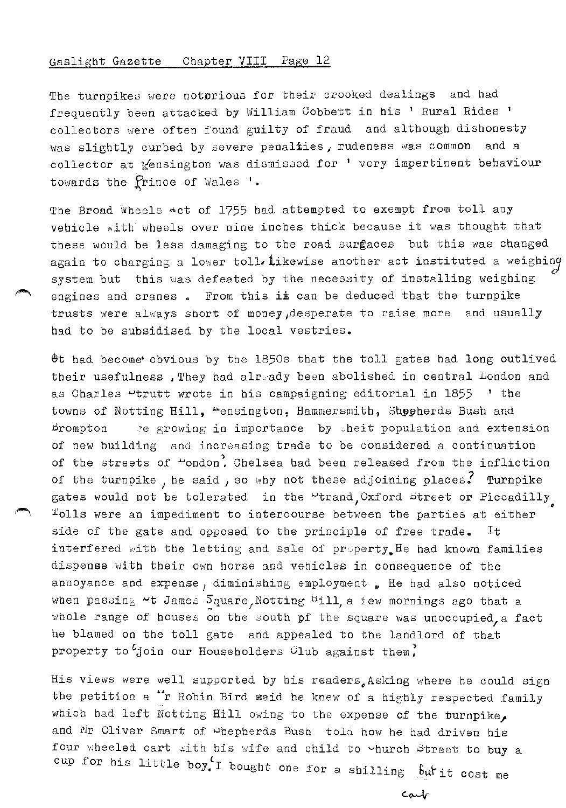The turnpikes were notorious for their crooked dealings and had frequently been attacked by William Cobbett in his ' Rural Rides 1 collectors were often found guilty of fraud and although dishonesty was slightly curbed by severe penalfies, rudeness was common and a collector at *Kensington was dismissed for* ' very impertinent behaviour towards the *Prince* of Wales '.

The Broad Wheels act of 1755 had attempted to exempt from toll any vehicle with wheels over nine inches thick because it was thought that these would be less damaging to the road surfaces but this was changed again to charging a lower toll. Likewise another act instituted a weighing system but this was defeated by the necessity of installing weighing engines and cranes. From this is can be deduced that the turnpike trusts were always short of money 1desperate to raise more and usually had to be subsidised by the local vestries.

 $\Theta$ t had become obvious by the 1850s that the toll gates had long outlived their usefulness, They had already been abolished in central London and as Charles  $\sim$ trutt wrote in his campaigning editorial in 1855  $\cdot$  the towns of Notting Hill, "ensington, Hammersmith, Shopherds Bush and Brompton  $\rightarrow$  e growing in importance by theit population and extension of new building and increasing trade to be considered a continuation of the streets of  $\sim$ ondon<sup>2</sup>, Chelsea had been released from the infliction of the turnpike, he said, so why not these adjoining places. Turnpike gates would not be tolerated in the "trand Oxford street or Piccadilly Tolls were an impediment to intercourse between the parties at either side of the gate and opposed to the principle of free trade. interfered with the letting and sale of property. He had known families dispense with their own horse and vehicles in consequence of the annoyance and expense, diminishing employment. He had also noticed when passing  $\sim$ t James  $\mathcal{S}_{\text{quare}}$ , Notting  $^{\text{Hill}}$  a iew mornings ago that a whole range of houses on the south pf the square was unoccupied, a fact he blamed on the toll gate and appealed to the landlord of that property to  $\ell$ join our Householders Club against them.

His views were well supported by his readers Asking where he could sign the petition a "r Robin Bird maid he knew of a highly respected family which had left Notting Hill owing to the expense of the turnpike. and Mr Oliver Smart of ~hepherds Bush told how he had driven his four wheeled cart with his wife and child to vhurch Street to buy a cup for his little boy.<sup>1</sup> bought one for a shilling <u>but it cost</u> me

Cart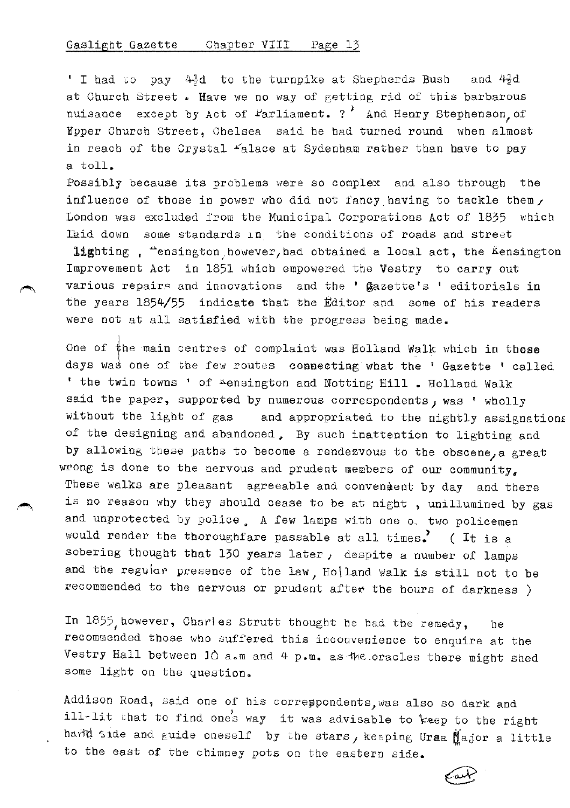' I had  $\circ$  pay 4 $\frac{1}{2}d$  to the turnpike at Shepherds Bush and 4 $\frac{1}{2}d$ at Church Street. Have we no way of getting rid of this barbarous nuisance except by Act of  $F$ arliament. ? And Henry Stephenson, of Mpper Church Street, Chelsea said be had turned round when almost in reach of the Crystal  $\pm$ alace at Sydenham rather than have to pay a toll.

Possibly because its problems were so complex and also through the influence of those in power who did not fancy having to tackle them, London was excluded from the Municipal Corporations Act of 1835 which laid down some standards in the conditions of roads and street

lighting , "ensington however, had obtained a local act, the Kensington Improvement Act in 1851 which empowered the Vestry to carry out various repairs and innovations and the ' gazette's ' editorials in the years 1854/55 indicate that the Editor and some of his readers were not at all satisfied with the progress being made.

One of  $\sharp$ he main centres of complaint was Holland Walk which in those days was one of the few routes connecting what the ' Gazette ' called ' the twin towns ' of Aensington and Notting Hill . Holland Walk said the paper, supported by numerous correspondents, was ' wholly without the light of gas and appropriated to the nightly assignations of the designing and abandoned, By such inattention to lighting and by allowing these paths to become a rendezvous to the obscene, a great wrong is done to the nervous and prudent members of our community, These walks are pleasant agreeable and convenient by day and there is no reason why they should cease to be at night , unillumined by gas and unprotected by police, A few lamps with one o. two policemen would render the thoroughfare passable at all times.  $($  It is a sobering thought that 130 years later, despite a number of lamps and the regular presence of the law, Ho\land Walk is still not to be recommended to the nervous or prudent after the hours of darkness )

In 1855, however, Charles Strutt thought he had the remedy, he recommended those who suffered this inconvenience to enquire at the Vestry Hall between JO a.m and 4 p.m. as·1he.oracles there might shed some light on the question.

Addison Road, said one of his correppondents, was also so dark and ill-lit that to find one's way it was advisable to keep to the right hard side and guide oneself by the stars, keeping Uraa  $M$ ajor a little to the east of the chimney pots on the eastern side.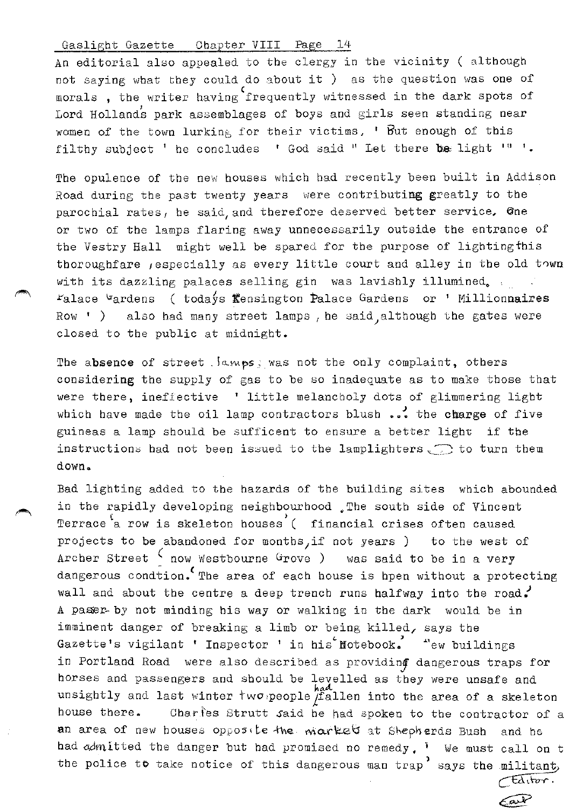An editorial also appealed to the clergy in the vicinity ( although not saying what they could do about it ) as the question was one of morals , the writer having frequently witnessed in the dark spots of Lord Hollands park assemblages of boys and girls seen standing near women of the town lurking for their victims, ' But enough of this filthy subject ' he concludes ' God said " Let there be light  $19^{-1}$ .

The opulence of the new houses which had recently been built in Addison Road during the past twenty years were contributing greatly to the parochial rates, he said, and therefore deserved better service, One or two of the lamps flaring away unnecessarily outside the entrance of the Vestry Hall might well be spared for the purpose of lighting this thoroughfare , especially as every little court and alley in the old town with its dazzling palaces selling gin was lavishly illumined.  $r_{\text{alace}}$   $\frac{v_{\text{arden}}}{v_{\text{at}}}\$  (todays fensington Palace Gardens or ' Millionnaires Row ' ) also had many street lamps, he said,although the gates were closed to tbe public at midnight.

The absence of street . lamps; was not the only complaint, others considering the supply of gas to be so inadequate as to make those that were there, ineffective ' little melancholy dots of glimmering light which have made the oil lamp contractors blush ... the charge of five guineas a lamp should be sufficent to ensure a better light if the instructions had not been issued to the lamplighters  $\bigcirc$  to turn them down.

Bad lighting added to the hazards of the building sites which abounded in the rapidly developing neighbourhood . The south side of Vincent Terrace a row is skeleton houses ( financial crises often caused projects to be abandoned for months, if not years ) to the west of Archer Street  $\zeta$  now Westbourne Grove ) was said to be in a very dangerous condtion. The area of each house is hpen without a protecting wall and about the centre a deep trench runs halfway into the road. A passer-by not minding his way or walking in the dark would be in imminent danger of breaking a limb or being killed, says the Gazette's vigilant ' Inspector ' in his Notebook. "ew buildings in Portland Road were also described as providing dangerous traps for horses and passengers and should be levelled as they were unsafe and unsightly and last winter two people  $f$  and into the area of a skeleton house there. Charfes Strutt said he had spoken to the contractor of a an area of new houses opposite the market at Sheph erds Bush and he. had admitted the danger but had promised no remedy. <sup>I</sup> We must call on t the police to take notice of this dangerous man trap says the militant,

> *ctairon.* Carb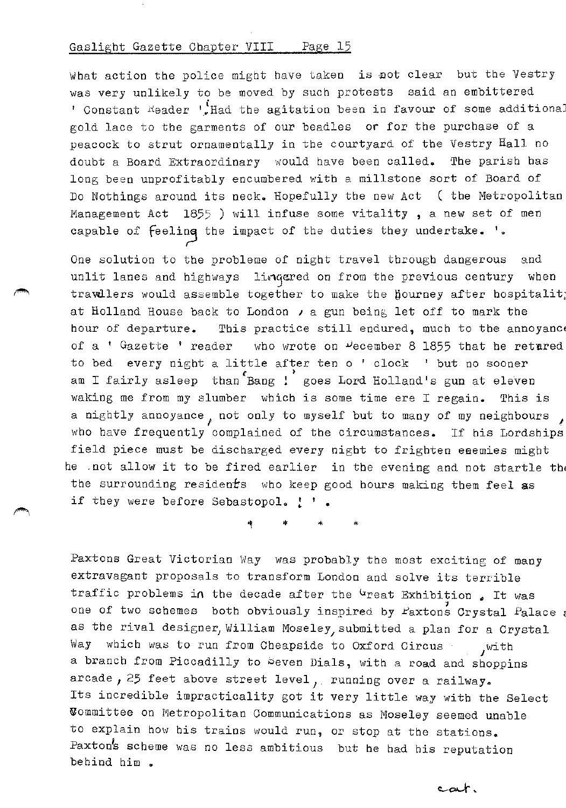What action the police might have taken is not clear but the Vestry was very unlikely to be moved by such protests said an embittered ' Constant  $K$ eader '.Had the agitation been in favour of some additional gold lace to the garments of our beadles or for the purchase of a peacock to strut ornamentally in the courtyard of the Vestry Hall no doubt a Board Extraordinary would have been called. The parish has long been unprofitably encumbered with a millstone sort of Board of Do Nothings around its neck. Hopefully the new Act ( the Metropolitan Management Act 1855 ) will infuse some vitality , a new set of men capable of feeling the impact of the duties they undertake. '.

One solution to the probleme of night travel through dangerous and unlit lanes and highways linqered on from the previous century when trawllers would assemble together to make the hourney after hospitalit; at Holland House back to London  $\lambda$  a gun being let off to mark the hour of departure. This practice still endured, much to the annoyance of a ' Gazette ' reader who wrote on  $\psi$ ecember 8 1855 that he retured to bed every night a little after ten o' clock ' but no sooner am I fairly asleep than Bang ! goes Lord Holland's gun at eleven waking me from my slumber which is some time ere I regain. This is a nightly annoyance, not only to myself but to many of my neighbours who have frequently complained of the circumstances. If his Lordships field piece must be discharged every night to frighten enemies might he .not allow it to be fired earlier in the evening and not startle the the surrounding residents who keep good hours making them feel as if they were before Sebastopol. ! '.

\* \* \*

Paxtons Great Victorian Way was probably the most exciting of many extravagant proposals to transform London and solve its terrible traffic problems in the decade after the <sup>G</sup>reat Exhibition. It was one of two schemes both obviously inspired by Paxtons Crystal Palace as the rival designer, William Moseley, submitted a plan for a Crystal Way which was to run from Cheapside to Oxford Circus ... with a branch from Piccadilly to beven Dials, with a road and shoppins arcade, 25 feet above street level, running over a railway. Its incredible impracticality got it very little way with the Select ~ommittee on Metropolitan Communications as Moseley seemed unable to explain how his trains would run, or stop at the stations. Paxton's scheme was no less ambitious but he had his reputation behind him.

car.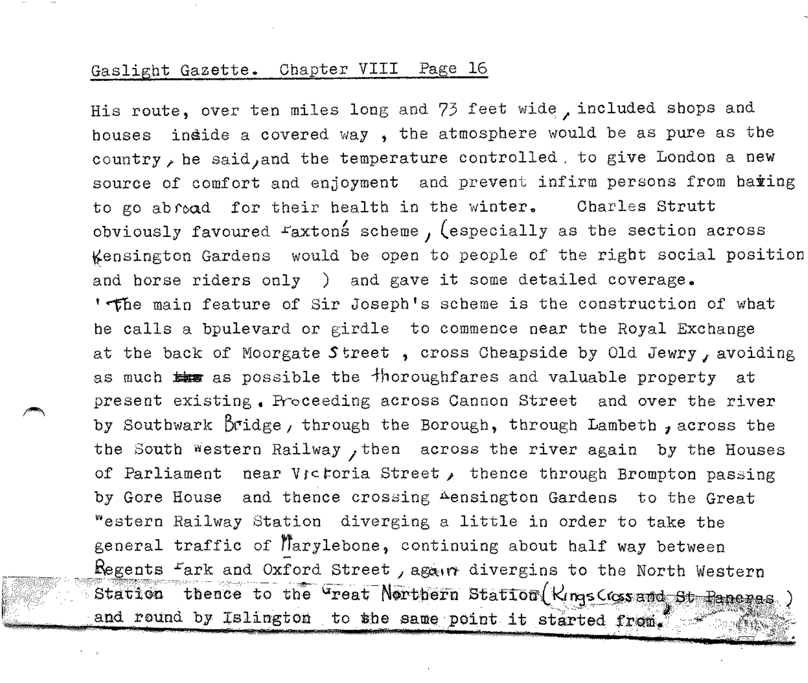His route, over ten miles long and 73 feet wide, included shops and houses in4ide a covered way , the atmosphere would be as pure as the country, he said, and the temperature controlled . to give London a new source of comfort and enjoyment and prevent infirm persons from haring to go abroad for their health in the winter. Charles Strutt obviously favoured raxton§ scheme *1* (especially as the section across ~ensington Gardens would be open to people of the right social position and horse riders only ) and gave it some detailed coverage. 'The main feature of Sir Joseph's scheme is the construction of what he calls a bpulevard or girdle to commence near the Royal Exchange at the back of Moorgate Street, cross Cheapside by Old Jewry, avoiding as much  $\frac{1}{2}$  as possible the  $\frac{1}{2}$  horoughfares and valuable property at present existing. Proceeding across Cannon Street and over the river by Southwark B1:idge *1* through the Borough, through Lambeth *1* across the the South western Railway , then across the river again by the Houses of Parliament near V<sub>j</sub>ctoria Street, thence through Brompton passing by Gore House and thence crossing Aensington Gardens to the Great ~estern Railway Station diverging a little in order to take the general traffic of Marylebone, continuing about half way between Regents <sup>F</sup>ark and Oxford Street, again divergins to the North Western Station thence to the <sup>G</sup>reat-Northern Station (Kings Coss and St-Panenas and round by Islington to she same point it started from.  $\sim$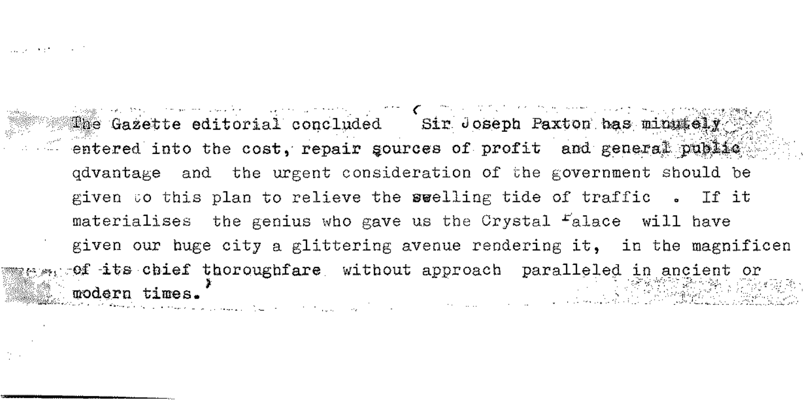Supported to a state

participants and the property of the Company of the Control of the Second The Gazette editorial concluded Sir Joseph Paxton has minutely entered into the cost, repair gources of profit and general public advantage and the urgent consideration of the government should be given to this plan to relieve the swelling tide of traffic.. If it materialises the genius who gave us the Crystal Falace will have given our huge city a glittering avenue rendering it, in the magnificen  $x_1$  of its chief thoroughfare without approach paralleled in ancient or modern times. والمستحدث والمستحدث والمتعارف القائل والمتهد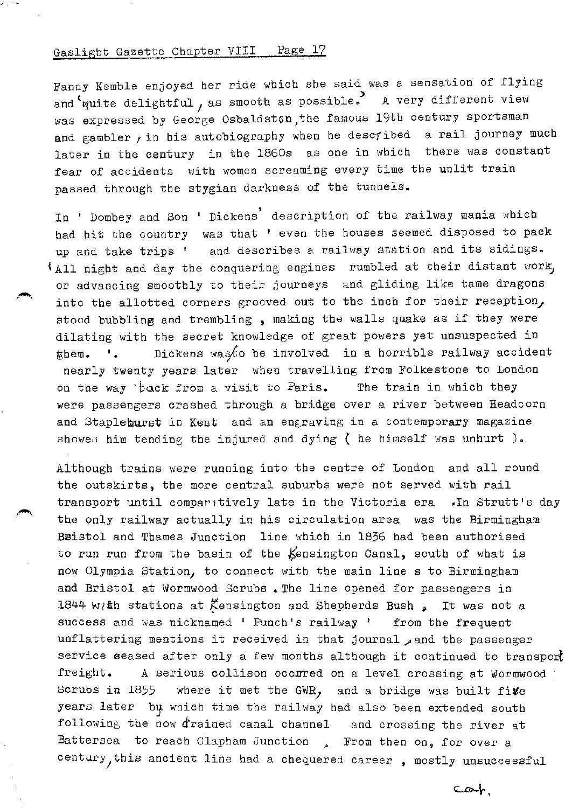-:·-

Fanny Kemble enjoyed her ride which she said was a sensation of flying and 'quite delightful, as smooth as possible. A very different view was expressed by George Osbaldston, the famous 19th century sportsman and gambler, in his autobiography when he described a rail journey much later in the century in the 1860s as one in which there was constant fear of accidents with women screaming every time the unlit train passed through the stygian darkness of the tunnels.

In ' Dombey and Son ' Dickens' description of the railway mania which had hit the country was that ' even the houses seemed disposed to pack up and take trips ' and describes a railway station and its sidings.  $*$ All night and day the conquering engines rumbled at their distant work, or advancing smoothly to their journeys and gliding like tame dragons into the allotted corners grooved out to the inch for their reception, stood bubbling and trembling , making the walls quake as if they were dilating with the secret knowledge of great powers yet unsuspected in  ${t}$  **shem.** '. Dickens was to be involved in a horrible railway accident nearly twenty years later when travelling from Folkestone to London on the way 'back from a visit to Paris. The train in which they were passengers crashed through a bridge over a river between Headcorn and Stapleburst in Kent and an engraving in a contemporary magazine showed him tending the injured and dying  $\zeta$  he himself was unhurt ).

Although trains were running into the centre of London and all round the outskirts, the more central suburbs were not served with rail transport until comparitively late in the Victoria era . In Strutt's day the only railway actually in his circulation area was the Birmingham Bsistol and Thames Junction line which in 1836 bad been authorised to run run from the basin of the  $\frac{1}{6}$ ensington Canal, south of what is now Olympia Station, to connect with the main line s to Birmingham and Bristol at Wormwood Scrubs. The line opened for passengers in 1844 with stations at Kensington and Shepherds Bush  $_{\bullet}$  It was not a success and was nicknamed ' Punch's railway ' from the frequent unflattering mentions it received in that journal and the passenger service seased after only a few months although it continued to transport freight. A serious collison occorred on a level crossing at Wormwood Scrubs in 1855 where it met the GWR, and a bridge was built fi $v$ e years later by which time the railway had also been extended south following the now drained canal channel and crossing the river at Battersea to reach Clapham Junction . From then on, for over a century, this ancient line had a chequered career, mostly unsuccessful

 $c$ at.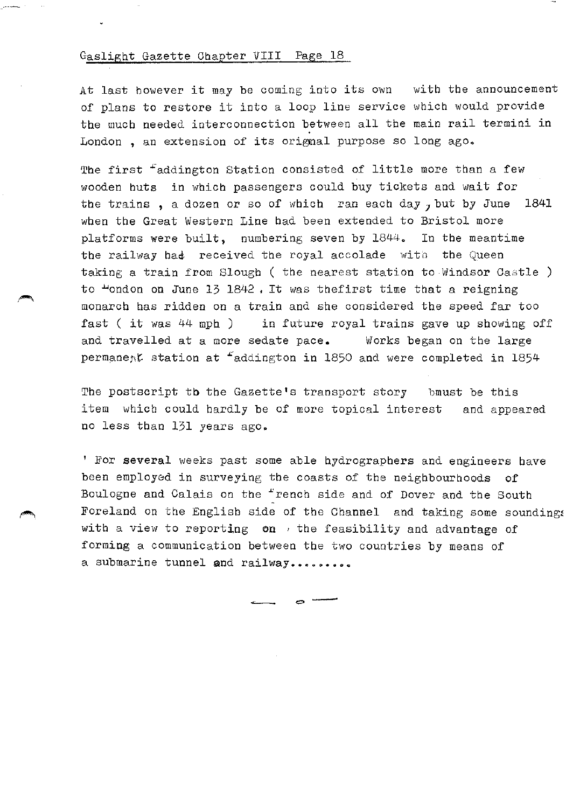At last however it may be coming into its own with the announcement of plans to restore it into a loop line service which would provide the much needed interconnection between all the main rail termini in .<br>London , an extension of its orignal purpose so long ago.

The first <sup>f</sup>addington Station consisted of little more than a few wooden buts in which passengers could buy tickets and wait for the trains , a dozen or so of which ran each day *J* but by June 1841 when the Great Western Line had been extended to Bristol more platforms were built, numbering seven by 1844. In the meantime the railway had received the royal accolade with the Queen taking a train from Slough ( the nearest station to Windsor Castle ) to  $\frac{1}{2}$  ondon on June 13 1842. It was thefirst time that a reigning monarch has ridden on a train and she considered the speed far too fast ( it was 44 mph ) in future royal trains gave up showing off and travelled at a more sedate pace. Works began on the large permanent station at  ${}^{\epsilon}$ addington in 1850 and were completed in 1854

The postscript tb the Gazette's transport story bmust be this item which could hardly be of more topical interest and appeared no less than 131 years ago.

' For several weeks past some able hydrographers and engineers have been employed in surveying the coasts of the neighbourhoods of Boulogne and Calais on the "rench side and of Dover and the South Foreland on the English side of the Channel and taking some sounding; with a view to reporting on  $\nu$  the feasibility and advantage of forming a communication between the two countries by means of a submarine tunnel and railway.........